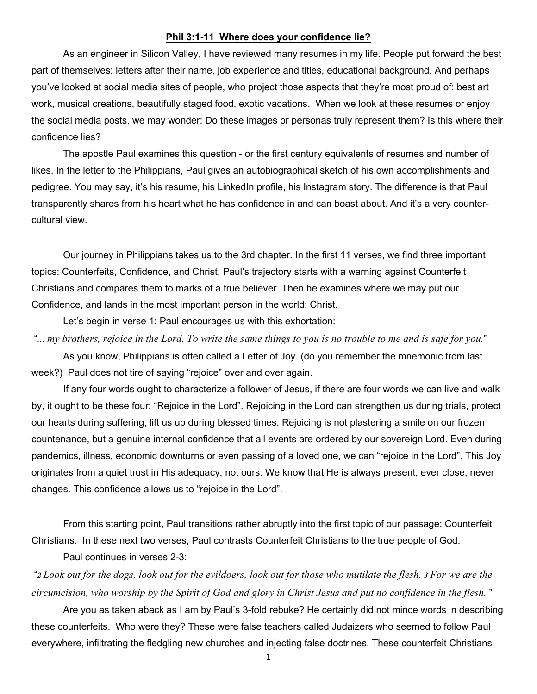## **Phil 3:1-11 Where does your confidence lie?**

As an engineer in Silicon Valley, I have reviewed many resumes in my life. People put forward the best part of themselves: letters after their name, job experience and titles, educational background. And perhaps you've looked at social media sites of people, who project those aspects that they're most proud of: best art work, musical creations, beautifully staged food, exotic vacations. When we look at these resumes or enjoy the social media posts, we may wonder: Do these images or personas truly represent them? Is this where their confidence lies?

The apostle Paul examines this question - or the first century equivalents of resumes and number of likes. In the letter to the Philippians, Paul gives an autobiographical sketch of his own accomplishments and pedigree. You may say, it's his resume, his LinkedIn profile, his Instagram story. The difference is that Paul transparently shares from his heart what he has confidence in and can boast about. And it's a very countercultural view.

Our journey in Philippians takes us to the 3rd chapter. In the first 11 verses, we find three important topics: Counterfeits, Confidence, and Christ. Paul's trajectory starts with a warning against Counterfeit Christians and compares them to marks of a true believer. Then he examines where we may put our Confidence, and lands in the most important person in the world: Christ.

Let's begin in verse 1: Paul encourages us with this exhortation:

"*... my brothers, rejoice in the Lord. To write the same things to you is no trouble to me and is safe for you.*" As you know, Philippians is often called a Letter of Joy. (do you remember the mnemonic from last week?) Paul does not tire of saying "rejoice" over and over again.

If any four words ought to characterize a follower of Jesus, if there are four words we can live and walk by, it ought to be these four: "Rejoice in the Lord". Rejoicing in the Lord can strengthen us during trials, protect our hearts during suffering, lift us up during blessed times. Rejoicing is not plastering a smile on our frozen countenance, but a genuine internal confidence that all events are ordered by our sovereign Lord. Even during pandemics, illness, economic downturns or even passing of a loved one, we can "rejoice in the Lord". This Joy originates from a quiet trust in His adequacy, not ours. We know that He is always present, ever close, never changes. This confidence allows us to "rejoice in the Lord".

From this starting point, Paul transitions rather abruptly into the first topic of our passage: Counterfeit Christians. In these next two verses, Paul contrasts Counterfeit Christians to the true people of God.

Paul continues in verses 2-3:

"*2 Look out for the dogs, look out for the evildoers, look out for those who mutilate the flesh. 3 For we are the circumcision, who worship by the Spirit of God and glory in Christ Jesus and put no confidence in the flesh.* "

Are you as taken aback as I am by Paul's 3-fold rebuke? He certainly did not mince words in describing these counterfeits. Who were they? These were false teachers called Judaizers who seemed to follow Paul everywhere, infiltrating the fledgling new churches and injecting false doctrines. These counterfeit Christians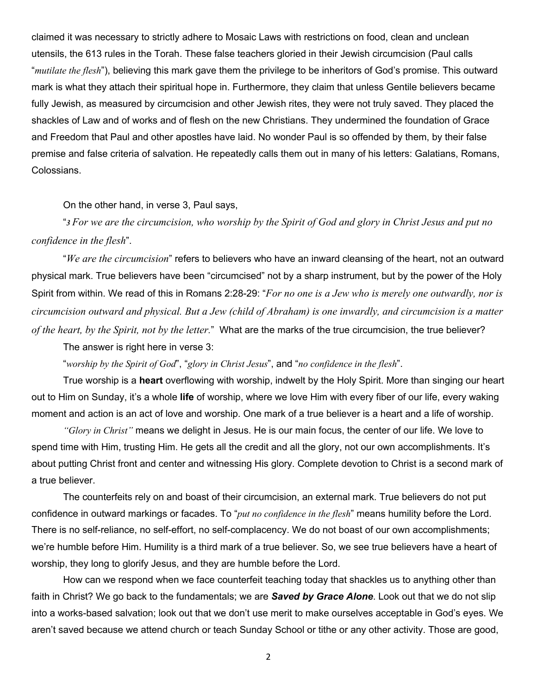claimed it was necessary to strictly adhere to Mosaic Laws with restrictions on food, clean and unclean utensils, the 613 rules in the Torah. These false teachers gloried in their Jewish circumcision (Paul calls "*mutilate the flesh*"), believing this mark gave them the privilege to be inheritors of God's promise. This outward mark is what they attach their spiritual hope in. Furthermore, they claim that unless Gentile believers became fully Jewish, as measured by circumcision and other Jewish rites, they were not truly saved. They placed the shackles of Law and of works and of flesh on the new Christians. They undermined the foundation of Grace and Freedom that Paul and other apostles have laid. No wonder Paul is so offended by them, by their false premise and false criteria of salvation. He repeatedly calls them out in many of his letters: Galatians, Romans, Colossians.

On the other hand, in verse 3, Paul says,

"*3 For we are the circumcision, who worship by the Spirit of God and glory in Christ Jesus and put no confidence in the flesh*".

"*We are the circumcision*" refers to believers who have an inward cleansing of the heart, not an outward physical mark. True believers have been "circumcised" not by a sharp instrument, but by the power of the Holy Spirit from within. We read of this in Romans 2:28-29: "*For no one is a Jew who is merely one outwardly, nor is circumcision outward and physical. But a Jew (child of Abraham) is one inwardly, and circumcision is a matter of the heart, by the Spirit, not by the letter.*" What are the marks of the true circumcision, the true believer?

The answer is right here in verse 3:

"*worship by the Spirit of God*", "*glory in Christ Jesus*", and "*no confidence in the flesh*".

True worship is a **heart** overflowing with worship, indwelt by the Holy Spirit. More than singing our heart out to Him on Sunday, it's a whole **life** of worship, where we love Him with every fiber of our life, every waking moment and action is an act of love and worship. One mark of a true believer is a heart and a life of worship.

*"Glory in Christ"* means we delight in Jesus. He is our main focus, the center of our life. We love to spend time with Him, trusting Him. He gets all the credit and all the glory, not our own accomplishments. It's about putting Christ front and center and witnessing His glory. Complete devotion to Christ is a second mark of a true believer.

The counterfeits rely on and boast of their circumcision, an external mark. True believers do not put confidence in outward markings or facades. To "*put no confidence in the flesh*" means humility before the Lord. There is no self-reliance, no self-effort, no self-complacency. We do not boast of our own accomplishments; we're humble before Him. Humility is a third mark of a true believer. So, we see true believers have a heart of worship, they long to glorify Jesus, and they are humble before the Lord.

How can we respond when we face counterfeit teaching today that shackles us to anything other than faith in Christ? We go back to the fundamentals; we are *Saved by Grace Alone*. Look out that we do not slip into a works-based salvation; look out that we don't use merit to make ourselves acceptable in God's eyes. We aren't saved because we attend church or teach Sunday School or tithe or any other activity. Those are good,

2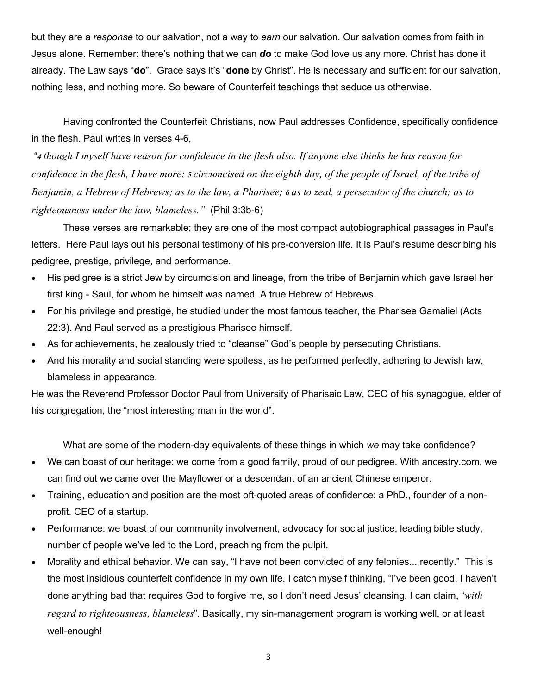but they are a *response* to our salvation, not a way to *earn* our salvation. Our salvation comes from faith in Jesus alone. Remember: there's nothing that we can *do* to make God love us any more. Christ has done it already. The Law says "**do**". Grace says it's "**done** by Christ". He is necessary and sufficient for our salvation, nothing less, and nothing more. So beware of Counterfeit teachings that seduce us otherwise.

Having confronted the Counterfeit Christians, now Paul addresses Confidence, specifically confidence in the flesh. Paul writes in verses 4-6,

"*4 though I myself have reason for confidence in the flesh also. If anyone else thinks he has reason for confidence in the flesh, I have more: 5 circumcised on the eighth day, of the people of Israel, of the tribe of Benjamin, a Hebrew of Hebrews; as to the law, a Pharisee; 6 as to zeal, a persecutor of the church; as to righteousness under the law, blameless."* (Phil 3:3b-6)

These verses are remarkable; they are one of the most compact autobiographical passages in Paul's letters. Here Paul lays out his personal testimony of his pre-conversion life. It is Paul's resume describing his pedigree, prestige, privilege, and performance.

- His pedigree is a strict Jew by circumcision and lineage, from the tribe of Benjamin which gave Israel her first king - Saul, for whom he himself was named. A true Hebrew of Hebrews.
- For his privilege and prestige, he studied under the most famous teacher, the Pharisee Gamaliel (Acts 22:3). And Paul served as a prestigious Pharisee himself.
- As for achievements, he zealously tried to "cleanse" God's people by persecuting Christians.
- And his morality and social standing were spotless, as he performed perfectly, adhering to Jewish law, blameless in appearance.

He was the Reverend Professor Doctor Paul from University of Pharisaic Law, CEO of his synagogue, elder of his congregation, the "most interesting man in the world".

What are some of the modern-day equivalents of these things in which *we* may take confidence?

- We can boast of our heritage: we come from a good family, proud of our pedigree. With ancestry.com, we can find out we came over the Mayflower or a descendant of an ancient Chinese emperor.
- Training, education and position are the most oft-quoted areas of confidence: a PhD., founder of a nonprofit. CEO of a startup.
- Performance: we boast of our community involvement, advocacy for social justice, leading bible study, number of people we've led to the Lord, preaching from the pulpit.
- Morality and ethical behavior. We can say, "I have not been convicted of any felonies... recently." This is the most insidious counterfeit confidence in my own life. I catch myself thinking, "I've been good. I haven't done anything bad that requires God to forgive me, so I don't need Jesus' cleansing. I can claim, "*with regard to righteousness, blameless*". Basically, my sin-management program is working well, or at least well-enough!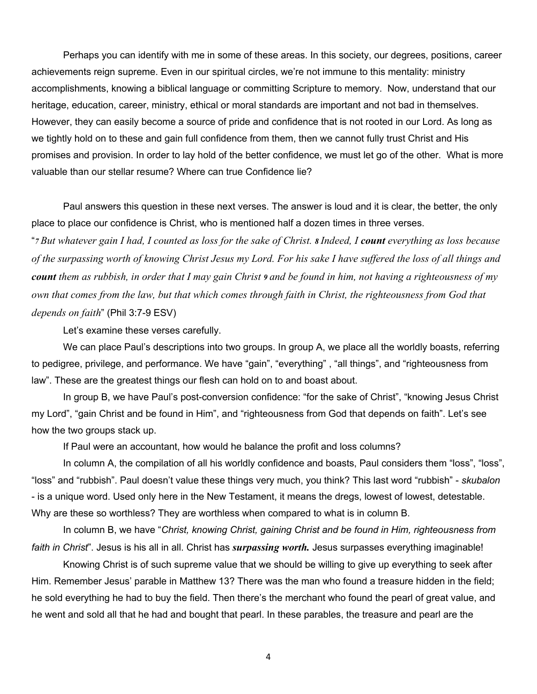Perhaps you can identify with me in some of these areas. In this society, our degrees, positions, career achievements reign supreme. Even in our spiritual circles, we're not immune to this mentality: ministry accomplishments, knowing a biblical language or committing Scripture to memory. Now, understand that our heritage, education, career, ministry, ethical or moral standards are important and not bad in themselves. However, they can easily become a source of pride and confidence that is not rooted in our Lord. As long as we tightly hold on to these and gain full confidence from them, then we cannot fully trust Christ and His promises and provision. In order to lay hold of the better confidence, we must let go of the other. What is more valuable than our stellar resume? Where can true Confidence lie?

Paul answers this question in these next verses. The answer is loud and it is clear, the better, the only place to place our confidence is Christ, who is mentioned half a dozen times in three verses.

"*7 But whatever gain I had, I counted as loss for the sake of Christ. 8 Indeed, I count everything as loss because of the surpassing worth of knowing Christ Jesus my Lord. For his sake I have suffered the loss of all things and count them as rubbish, in order that I may gain Christ 9 and be found in him, not having a righteousness of my own that comes from the law, but that which comes through faith in Christ, the righteousness from God that depends on faith*" (Phil 3:7-9 ESV)

Let's examine these verses carefully.

We can place Paul's descriptions into two groups. In group A, we place all the worldly boasts, referring to pedigree, privilege, and performance. We have "gain", "everything" , "all things", and "righteousness from law". These are the greatest things our flesh can hold on to and boast about.

In group B, we have Paul's post-conversion confidence: "for the sake of Christ", "knowing Jesus Christ my Lord", "gain Christ and be found in Him", and "righteousness from God that depends on faith". Let's see how the two groups stack up.

If Paul were an accountant, how would he balance the profit and loss columns?

In column A, the compilation of all his worldly confidence and boasts, Paul considers them "loss", "loss", "loss" and "rubbish". Paul doesn't value these things very much, you think? This last word "rubbish" - *skubalon* - is a unique word. Used only here in the New Testament, it means the dregs, lowest of lowest, detestable. Why are these so worthless? They are worthless when compared to what is in column B.

In column B, we have "*Christ, knowing Christ, gaining Christ and be found in Him, righteousness from faith in Christ*". Jesus is his all in all. Christ has *surpassing worth.* Jesus surpasses everything imaginable!

Knowing Christ is of such supreme value that we should be willing to give up everything to seek after Him. Remember Jesus' parable in Matthew 13? There was the man who found a treasure hidden in the field; he sold everything he had to buy the field. Then there's the merchant who found the pearl of great value, and he went and sold all that he had and bought that pearl. In these parables, the treasure and pearl are the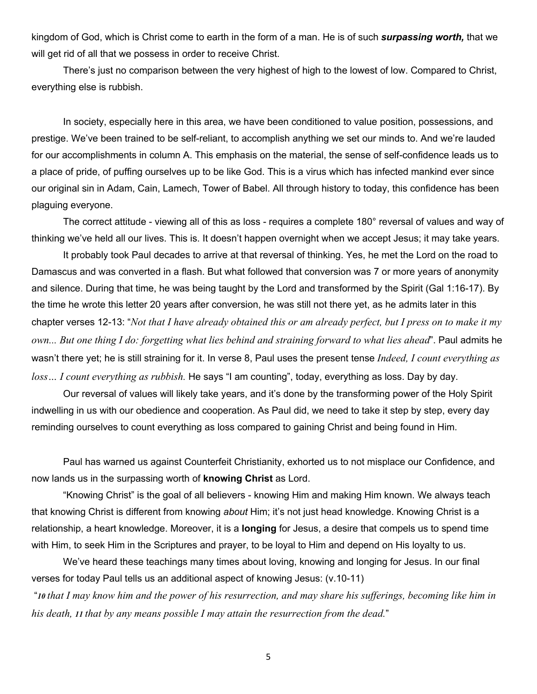kingdom of God, which is Christ come to earth in the form of a man. He is of such *surpassing worth,* that we will get rid of all that we possess in order to receive Christ.

There's just no comparison between the very highest of high to the lowest of low. Compared to Christ, everything else is rubbish.

In society, especially here in this area, we have been conditioned to value position, possessions, and prestige. We've been trained to be self-reliant, to accomplish anything we set our minds to. And we're lauded for our accomplishments in column A. This emphasis on the material, the sense of self-confidence leads us to a place of pride, of puffing ourselves up to be like God. This is a virus which has infected mankind ever since our original sin in Adam, Cain, Lamech, Tower of Babel. All through history to today, this confidence has been plaguing everyone.

The correct attitude - viewing all of this as loss - requires a complete 180° reversal of values and way of thinking we've held all our lives. This is. It doesn't happen overnight when we accept Jesus; it may take years.

It probably took Paul decades to arrive at that reversal of thinking. Yes, he met the Lord on the road to Damascus and was converted in a flash. But what followed that conversion was 7 or more years of anonymity and silence. During that time, he was being taught by the Lord and transformed by the Spirit (Gal 1:16-17). By the time he wrote this letter 20 years after conversion, he was still not there yet, as he admits later in this chapter verses 12-13: "*Not that I have already obtained this or am already perfect, but I press on to make it my own... But one thing I do: forgetting what lies behind and straining forward to what lies ahead*". Paul admits he wasn't there yet; he is still straining for it. In verse 8, Paul uses the present tense *Indeed, I count everything as loss… I count everything as rubbish.* He says "I am counting", today, everything as loss. Day by day.

Our reversal of values will likely take years, and it's done by the transforming power of the Holy Spirit indwelling in us with our obedience and cooperation. As Paul did, we need to take it step by step, every day reminding ourselves to count everything as loss compared to gaining Christ and being found in Him.

Paul has warned us against Counterfeit Christianity, exhorted us to not misplace our Confidence, and now lands us in the surpassing worth of **knowing Christ** as Lord.

"Knowing Christ" is the goal of all believers - knowing Him and making Him known. We always teach that knowing Christ is different from knowing *about* Him; it's not just head knowledge. Knowing Christ is a relationship, a heart knowledge. Moreover, it is a **longing** for Jesus, a desire that compels us to spend time with Him, to seek Him in the Scriptures and prayer, to be loyal to Him and depend on His loyalty to us.

We've heard these teachings many times about loving, knowing and longing for Jesus. In our final verses for today Paul tells us an additional aspect of knowing Jesus: (v.10-11)

"*10 that I may know him and the power of his resurrection, and may share his sufferings, becoming like him in his death, 11 that by any means possible I may attain the resurrection from the dead.*"

5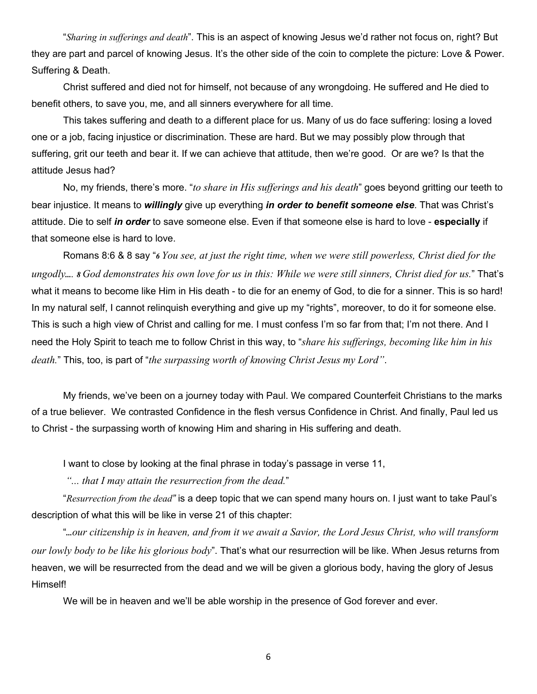"*Sharing in sufferings and death*". This is an aspect of knowing Jesus we'd rather not focus on, right? But they are part and parcel of knowing Jesus. It's the other side of the coin to complete the picture: Love & Power. Suffering & Death.

Christ suffered and died not for himself, not because of any wrongdoing. He suffered and He died to benefit others, to save you, me, and all sinners everywhere for all time.

This takes suffering and death to a different place for us. Many of us do face suffering: losing a loved one or a job, facing injustice or discrimination. These are hard. But we may possibly plow through that suffering, grit our teeth and bear it. If we can achieve that attitude, then we're good. Or are we? Is that the attitude Jesus had?

No, my friends, there's more. "*to share in His sufferings and his death*" goes beyond gritting our teeth to bear injustice. It means to *willingly* give up everything *in order to benefit someone else*. That was Christ's attitude. Die to self *in order* to save someone else. Even if that someone else is hard to love - **especially** if that someone else is hard to love.

Romans 8:6 & 8 say "*6 You see, at just the right time, when we were still powerless, Christ died for the ungodly.... 8 God demonstrates his own love for us in this: While we were still sinners, Christ died for us.*" That's what it means to become like Him in His death - to die for an enemy of God, to die for a sinner. This is so hard! In my natural self, I cannot relinquish everything and give up my "rights", moreover, to do it for someone else. This is such a high view of Christ and calling for me. I must confess I'm so far from that; I'm not there. And I need the Holy Spirit to teach me to follow Christ in this way, to "*share his sufferings, becoming like him in his death.*" This, too, is part of "*the surpassing worth of knowing Christ Jesus my Lord"*.

My friends, we've been on a journey today with Paul. We compared Counterfeit Christians to the marks of a true believer. We contrasted Confidence in the flesh versus Confidence in Christ. And finally, Paul led us to Christ - the surpassing worth of knowing Him and sharing in His suffering and death.

I want to close by looking at the final phrase in today's passage in verse 11,

*"... that I may attain the resurrection from the dead.*"

"*Resurrection from the dead"* is a deep topic that we can spend many hours on. I just want to take Paul's description of what this will be like in verse 21 of this chapter:

"*...our citizenship is in heaven, and from it we await a Savior, the Lord Jesus Christ, who will transform our lowly body to be like his glorious body*". That's what our resurrection will be like. When Jesus returns from heaven, we will be resurrected from the dead and we will be given a glorious body, having the glory of Jesus Himself!

We will be in heaven and we'll be able worship in the presence of God forever and ever.